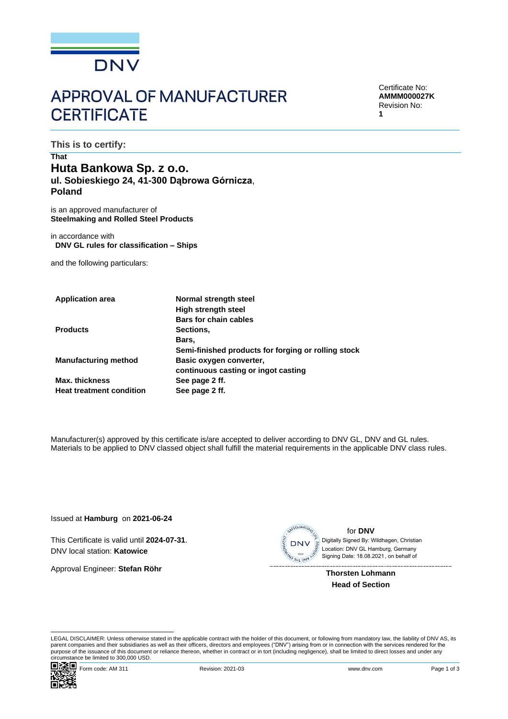

# **APPROVAL OF MANUFACTURER CERTIFICATE**

Certificate No: **AMMM000027K** Revision No: **1**

**This is to certify:**

## **That Huta Bankowa Sp. z o.o. ul. Sobieskiego 24, 41-300 Dąbrowa Górnicza**, **Poland**

is an approved manufacturer of **Steelmaking and Rolled Steel Products**

in accordance with **DNV GL rules for classification – Ships**

and the following particulars:

| <b>Application area</b>         | Normal strength steel                               |
|---------------------------------|-----------------------------------------------------|
|                                 | <b>High strength steel</b>                          |
|                                 | <b>Bars for chain cables</b>                        |
| <b>Products</b>                 | Sections,                                           |
|                                 | Bars,                                               |
|                                 | Semi-finished products for forging or rolling stock |
| <b>Manufacturing method</b>     | Basic oxygen converter,                             |
|                                 | continuous casting or ingot casting                 |
| <b>Max. thickness</b>           | See page 2 ff.                                      |
| <b>Heat treatment condition</b> | See page 2 ff.                                      |
|                                 |                                                     |

Manufacturer(s) approved by this certificate is/are accepted to deliver according to DNV GL, DNV and GL rules. Materials to be applied to DNV classed object shall fulfill the material requirements in the applicable DNV class rules.

Issued at **Hamburg** on **2021-06-24**

This Certificate is valid until **2024-07-31**. DNV local station: **Katowice**

Approval Engineer: **Stefan Röhr**



for **DNV** Signing Date: 18.08.2021 , on behalf ofDigitally Signed By: Wildhagen, Christian Location: DNV GL Hamburg, Germany

**Thorsten Lohmann Head of Section**

LEGAL DISCLAIMER: Unless otherwise stated in the applicable contract with the holder of this document, or following from mandatory law, the liability of DNV AS, its parent companies and their subsidiaries as well as their officers, directors and employees ("DNV") arising from or in connection with the services rendered for the purpose of the issuance of this document or reliance thereon, whether in contract or in tort (including negligence), shall be limited to direct losses and under any circumstance be limited to 300,000 USD.

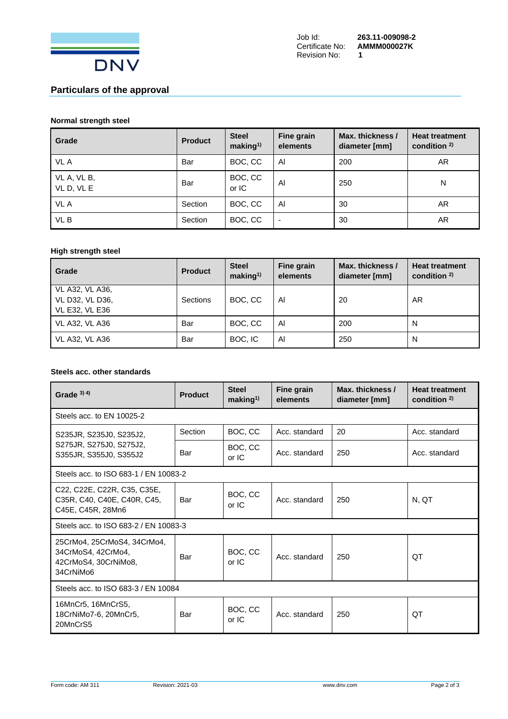

## **Particulars of the approval**

#### **Normal strength steel**

| Grade                   | <b>Product</b> | <b>Steel</b><br>making <sup>1</sup> | Fine grain<br>elements | Max. thickness /<br>diameter [mm] | <b>Heat treatment</b><br>condition $2$ |
|-------------------------|----------------|-------------------------------------|------------------------|-----------------------------------|----------------------------------------|
| VL A                    | Bar            | BOC, CC                             | Al                     | 200                               | AR.                                    |
| VL A, VL B,<br>VLD, VLE | Bar            | BOC, CC<br>or IC                    | Al                     | 250                               | N                                      |
| VL A                    | Section        | BOC, CC                             | Al                     | 30                                | AR.                                    |
| VL B                    | Section        | BOC, CC                             | -                      | 30                                | AR                                     |

## **High strength steel**

| Grade                                                | <b>Product</b> | <b>Steel</b><br>making <sup>1</sup> | Fine grain<br>elements | Max. thickness /<br>diameter [mm] | <b>Heat treatment</b><br>condition $2$ |
|------------------------------------------------------|----------------|-------------------------------------|------------------------|-----------------------------------|----------------------------------------|
| VL A32, VL A36,<br>VL D32, VL D36,<br>VL E32, VL E36 | Sections       | BOC, CC                             | Al                     | 20                                | AR                                     |
| <b>VL A32, VL A36</b>                                | Bar            | BOC, CC                             | Al                     | 200                               | N                                      |
| <b>VL A32, VL A36</b>                                | Bar            | BOC, IC                             | Al                     | 250                               | N                                      |

## **Steels acc. other standards**

| Grade $3)$ 4)                                                                          | <b>Product</b> | <b>Steel</b><br>making <sup>1</sup> | Fine grain<br>elements | Max. thickness /<br>diameter [mm] | <b>Heat treatment</b><br>condition $2$ ) |
|----------------------------------------------------------------------------------------|----------------|-------------------------------------|------------------------|-----------------------------------|------------------------------------------|
| Steels acc. to EN 10025-2                                                              |                |                                     |                        |                                   |                                          |
| S235JR, S235J0, S235J2,                                                                | Section        | BOC, CC                             | Acc. standard          | 20                                | Acc. standard                            |
| S275JR, S275J0, S275J2,<br>S355JR, S355J0, S355J2                                      | Bar            | BOC, CC<br>or IC                    | Acc. standard          | 250                               | Acc. standard                            |
| Steels acc. to ISO 683-1 / EN 10083-2                                                  |                |                                     |                        |                                   |                                          |
| C22, C22E, C22R, C35, C35E,<br>C35R, C40, C40E, C40R, C45,<br>C45E, C45R, 28Mn6        | Bar            | BOC, CC<br>or IC                    | Acc. standard          | 250                               | N. QT                                    |
| Steels acc. to ISO 683-2 / EN 10083-3                                                  |                |                                     |                        |                                   |                                          |
| 25CrMo4, 25CrMoS4, 34CrMo4,<br>34CrMoS4, 42CrMo4,<br>42CrMoS4, 30CrNiMo8,<br>34CrNiMo6 | Bar            | BOC, CC<br>or IC                    | Acc. standard          | 250                               | QT                                       |
| Steels acc. to ISO 683-3 / EN 10084                                                    |                |                                     |                        |                                   |                                          |
| 16MnCr5, 16MnCrS5,<br>18CrNiMo7-6, 20MnCr5,<br>20MnCrS5                                | Bar            | BOC, CC<br>or IC                    | Acc. standard          | 250                               | ОT                                       |